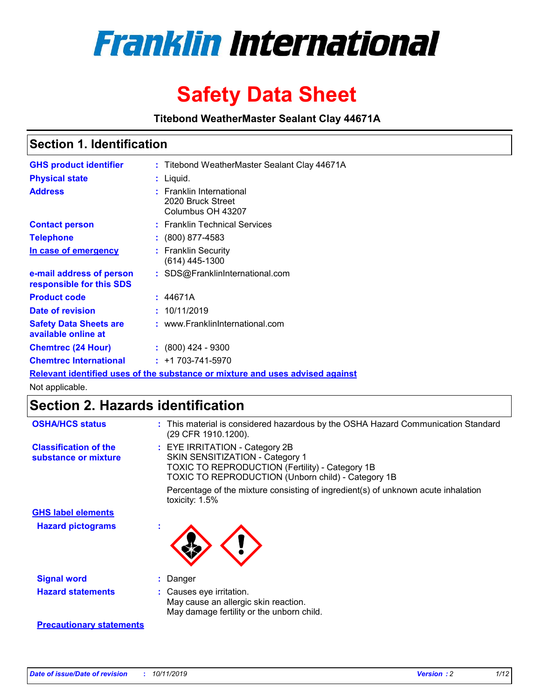

# **Safety Data Sheet**

**Titebond WeatherMaster Sealant Clay 44671A**

## **Section 1. Identification**

| <b>GHS product identifier</b>                        | : Titebond WeatherMaster Sealant Clay 44671A                                  |
|------------------------------------------------------|-------------------------------------------------------------------------------|
| <b>Physical state</b>                                | : Liquid.                                                                     |
| <b>Address</b>                                       | : Franklin International<br>2020 Bruck Street<br>Columbus OH 43207            |
| <b>Contact person</b>                                | : Franklin Technical Services                                                 |
| <b>Telephone</b>                                     | $\colon$ (800) 877-4583                                                       |
| In case of emergency                                 | : Franklin Security<br>(614) 445-1300                                         |
| e-mail address of person<br>responsible for this SDS | : SDS@FranklinInternational.com                                               |
| <b>Product code</b>                                  | : 44671A                                                                      |
| Date of revision                                     | : 10/11/2019                                                                  |
| <b>Safety Data Sheets are</b><br>available online at | : www.FranklinInternational.com                                               |
| <b>Chemtrec (24 Hour)</b>                            | $\div$ (800) 424 - 9300                                                       |
| <b>Chemtrec International</b>                        | $: +1703 - 741 - 5970$                                                        |
|                                                      | Relevant identified uses of the substance or mixture and uses advised against |

Not applicable.

## **Section 2. Hazards identification**

| <b>OSHA/HCS status</b>                               | : This material is considered hazardous by the OSHA Hazard Communication Standard<br>(29 CFR 1910.1200).                                                                                 |
|------------------------------------------------------|------------------------------------------------------------------------------------------------------------------------------------------------------------------------------------------|
| <b>Classification of the</b><br>substance or mixture | : EYE IRRITATION - Category 2B<br>SKIN SENSITIZATION - Category 1<br><b>TOXIC TO REPRODUCTION (Fertility) - Category 1B</b><br><b>TOXIC TO REPRODUCTION (Unborn child) - Category 1B</b> |
|                                                      | Percentage of the mixture consisting of ingredient(s) of unknown acute inhalation<br>toxicity: $1.5\%$                                                                                   |
| <b>GHS label elements</b>                            |                                                                                                                                                                                          |
| <b>Hazard pictograms</b>                             |                                                                                                                                                                                          |
| <b>Signal word</b>                                   | : Danger                                                                                                                                                                                 |
| <b>Hazard statements</b>                             | : Causes eye irritation.<br>May cause an allergic skin reaction.<br>May damage fertility or the unborn child.                                                                            |
| <b>Precautionary statements</b>                      |                                                                                                                                                                                          |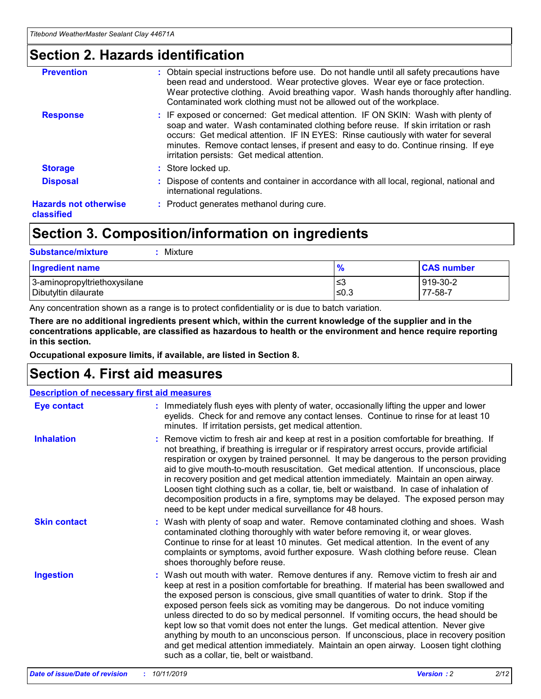## **Section 2. Hazards identification**

| <b>Prevention</b>                          | : Obtain special instructions before use. Do not handle until all safety precautions have<br>been read and understood. Wear protective gloves. Wear eye or face protection.<br>Wear protective clothing. Avoid breathing vapor. Wash hands thoroughly after handling.<br>Contaminated work clothing must not be allowed out of the workplace.                                                        |
|--------------------------------------------|------------------------------------------------------------------------------------------------------------------------------------------------------------------------------------------------------------------------------------------------------------------------------------------------------------------------------------------------------------------------------------------------------|
| <b>Response</b>                            | : IF exposed or concerned: Get medical attention. IF ON SKIN: Wash with plenty of<br>soap and water. Wash contaminated clothing before reuse. If skin irritation or rash<br>occurs: Get medical attention. IF IN EYES: Rinse cautiously with water for several<br>minutes. Remove contact lenses, if present and easy to do. Continue rinsing. If eye<br>irritation persists: Get medical attention. |
| <b>Storage</b>                             | : Store locked up.                                                                                                                                                                                                                                                                                                                                                                                   |
| <b>Disposal</b>                            | : Dispose of contents and container in accordance with all local, regional, national and<br>international regulations.                                                                                                                                                                                                                                                                               |
| <b>Hazards not otherwise</b><br>classified | : Product generates methanol during cure.                                                                                                                                                                                                                                                                                                                                                            |
|                                            |                                                                                                                                                                                                                                                                                                                                                                                                      |

## **Section 3. Composition/information on ingredients**

| <b>Substance/mixture</b><br>: Mixture                |               |                     |
|------------------------------------------------------|---------------|---------------------|
| Ingredient name                                      | $\frac{9}{6}$ | <b>CAS number</b>   |
| 3-aminopropyltriethoxysilane<br>Dibutyltin dilaurate | צ≥<br>≤0.3    | 919-30-2<br>77-58-7 |

Any concentration shown as a range is to protect confidentiality or is due to batch variation.

**There are no additional ingredients present which, within the current knowledge of the supplier and in the concentrations applicable, are classified as hazardous to health or the environment and hence require reporting in this section.**

**Occupational exposure limits, if available, are listed in Section 8.**

## **Section 4. First aid measures**

| <b>Description of necessary first aid measures</b> |                                                                                                                                                                                                                                                                                                                                                                                                                                                                                                                                                                                                                                                                                                                                                                           |  |  |  |
|----------------------------------------------------|---------------------------------------------------------------------------------------------------------------------------------------------------------------------------------------------------------------------------------------------------------------------------------------------------------------------------------------------------------------------------------------------------------------------------------------------------------------------------------------------------------------------------------------------------------------------------------------------------------------------------------------------------------------------------------------------------------------------------------------------------------------------------|--|--|--|
| <b>Eye contact</b>                                 | : Immediately flush eyes with plenty of water, occasionally lifting the upper and lower<br>eyelids. Check for and remove any contact lenses. Continue to rinse for at least 10<br>minutes. If irritation persists, get medical attention.                                                                                                                                                                                                                                                                                                                                                                                                                                                                                                                                 |  |  |  |
| <b>Inhalation</b>                                  | : Remove victim to fresh air and keep at rest in a position comfortable for breathing. If<br>not breathing, if breathing is irregular or if respiratory arrest occurs, provide artificial<br>respiration or oxygen by trained personnel. It may be dangerous to the person providing<br>aid to give mouth-to-mouth resuscitation. Get medical attention. If unconscious, place<br>in recovery position and get medical attention immediately. Maintain an open airway.<br>Loosen tight clothing such as a collar, tie, belt or waistband. In case of inhalation of<br>decomposition products in a fire, symptoms may be delayed. The exposed person may<br>need to be kept under medical surveillance for 48 hours.                                                       |  |  |  |
| <b>Skin contact</b>                                | : Wash with plenty of soap and water. Remove contaminated clothing and shoes. Wash<br>contaminated clothing thoroughly with water before removing it, or wear gloves.<br>Continue to rinse for at least 10 minutes. Get medical attention. In the event of any<br>complaints or symptoms, avoid further exposure. Wash clothing before reuse. Clean<br>shoes thoroughly before reuse.                                                                                                                                                                                                                                                                                                                                                                                     |  |  |  |
| <b>Ingestion</b>                                   | : Wash out mouth with water. Remove dentures if any. Remove victim to fresh air and<br>keep at rest in a position comfortable for breathing. If material has been swallowed and<br>the exposed person is conscious, give small quantities of water to drink. Stop if the<br>exposed person feels sick as vomiting may be dangerous. Do not induce vomiting<br>unless directed to do so by medical personnel. If vomiting occurs, the head should be<br>kept low so that vomit does not enter the lungs. Get medical attention. Never give<br>anything by mouth to an unconscious person. If unconscious, place in recovery position<br>and get medical attention immediately. Maintain an open airway. Loosen tight clothing<br>such as a collar, tie, belt or waistband. |  |  |  |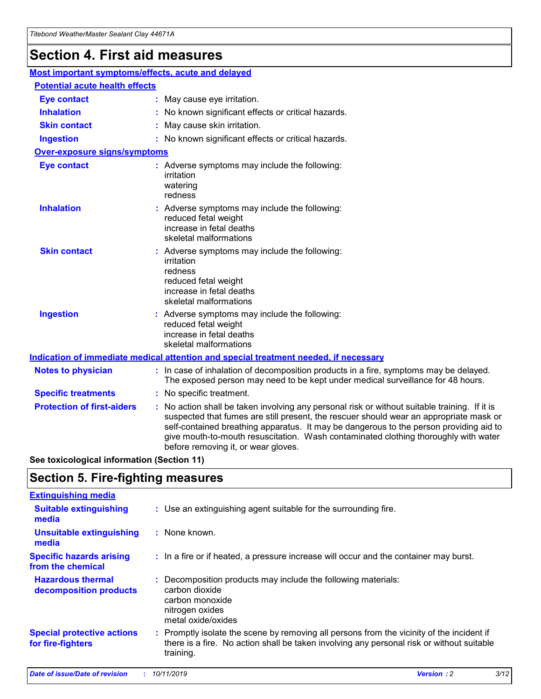## **Section 4. First aid measures**

| Most important symptoms/effects, acute and delayed |                                       |                                                                                                                                                                                                                                                                                                                                                                                                                 |  |  |  |
|----------------------------------------------------|---------------------------------------|-----------------------------------------------------------------------------------------------------------------------------------------------------------------------------------------------------------------------------------------------------------------------------------------------------------------------------------------------------------------------------------------------------------------|--|--|--|
|                                                    | <b>Potential acute health effects</b> |                                                                                                                                                                                                                                                                                                                                                                                                                 |  |  |  |
| <b>Eye contact</b>                                 |                                       | : May cause eye irritation.                                                                                                                                                                                                                                                                                                                                                                                     |  |  |  |
| <b>Inhalation</b>                                  |                                       | : No known significant effects or critical hazards.                                                                                                                                                                                                                                                                                                                                                             |  |  |  |
| <b>Skin contact</b>                                |                                       | : May cause skin irritation.                                                                                                                                                                                                                                                                                                                                                                                    |  |  |  |
| <b>Ingestion</b>                                   |                                       | : No known significant effects or critical hazards.                                                                                                                                                                                                                                                                                                                                                             |  |  |  |
| Over-exposure signs/symptoms                       |                                       |                                                                                                                                                                                                                                                                                                                                                                                                                 |  |  |  |
| <b>Eye contact</b>                                 |                                       | : Adverse symptoms may include the following:<br>irritation<br>watering<br>redness                                                                                                                                                                                                                                                                                                                              |  |  |  |
| <b>Inhalation</b>                                  |                                       | : Adverse symptoms may include the following:<br>reduced fetal weight<br>increase in fetal deaths<br>skeletal malformations                                                                                                                                                                                                                                                                                     |  |  |  |
| <b>Skin contact</b>                                |                                       | : Adverse symptoms may include the following:<br>irritation<br>redness<br>reduced fetal weight<br>increase in fetal deaths<br>skeletal malformations                                                                                                                                                                                                                                                            |  |  |  |
| <b>Ingestion</b>                                   |                                       | : Adverse symptoms may include the following:<br>reduced fetal weight<br>increase in fetal deaths<br>skeletal malformations                                                                                                                                                                                                                                                                                     |  |  |  |
|                                                    |                                       | <b>Indication of immediate medical attention and special treatment needed, if necessary</b>                                                                                                                                                                                                                                                                                                                     |  |  |  |
| <b>Notes to physician</b>                          |                                       | : In case of inhalation of decomposition products in a fire, symptoms may be delayed.<br>The exposed person may need to be kept under medical surveillance for 48 hours.                                                                                                                                                                                                                                        |  |  |  |
| <b>Specific treatments</b>                         |                                       | : No specific treatment.                                                                                                                                                                                                                                                                                                                                                                                        |  |  |  |
| <b>Protection of first-aiders</b>                  |                                       | : No action shall be taken involving any personal risk or without suitable training. If it is<br>suspected that fumes are still present, the rescuer should wear an appropriate mask or<br>self-contained breathing apparatus. It may be dangerous to the person providing aid to<br>give mouth-to-mouth resuscitation. Wash contaminated clothing thoroughly with water<br>before removing it, or wear gloves. |  |  |  |

**See toxicological information (Section 11)**

## **Section 5. Fire-fighting measures**

| <b>Extinguishing media</b>                             |                                                                                                                                                                                                     |
|--------------------------------------------------------|-----------------------------------------------------------------------------------------------------------------------------------------------------------------------------------------------------|
| <b>Suitable extinguishing</b><br>media                 | : Use an extinguishing agent suitable for the surrounding fire.                                                                                                                                     |
| <b>Unsuitable extinguishing</b><br>media               | $:$ None known.                                                                                                                                                                                     |
| <b>Specific hazards arising</b><br>from the chemical   | : In a fire or if heated, a pressure increase will occur and the container may burst.                                                                                                               |
| <b>Hazardous thermal</b><br>decomposition products     | : Decomposition products may include the following materials:<br>carbon dioxide<br>carbon monoxide<br>nitrogen oxides<br>metal oxide/oxides                                                         |
| <b>Special protective actions</b><br>for fire-fighters | : Promptly isolate the scene by removing all persons from the vicinity of the incident if<br>there is a fire. No action shall be taken involving any personal risk or without suitable<br>training. |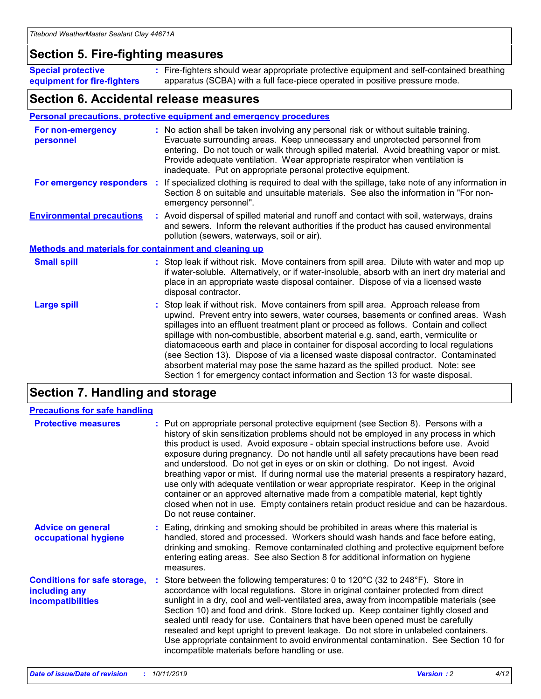## **Section 5. Fire-fighting measures**

**Special protective equipment for fire-fighters** Fire-fighters should wear appropriate protective equipment and self-contained breathing **:** apparatus (SCBA) with a full face-piece operated in positive pressure mode.

## **Section 6. Accidental release measures**

### **Personal precautions, protective equipment and emergency procedures**

| For non-emergency<br>personnel                               | : No action shall be taken involving any personal risk or without suitable training.<br>Evacuate surrounding areas. Keep unnecessary and unprotected personnel from<br>entering. Do not touch or walk through spilled material. Avoid breathing vapor or mist.<br>Provide adequate ventilation. Wear appropriate respirator when ventilation is<br>inadequate. Put on appropriate personal protective equipment.                                                                                                                                                                                                                                                                                             |
|--------------------------------------------------------------|--------------------------------------------------------------------------------------------------------------------------------------------------------------------------------------------------------------------------------------------------------------------------------------------------------------------------------------------------------------------------------------------------------------------------------------------------------------------------------------------------------------------------------------------------------------------------------------------------------------------------------------------------------------------------------------------------------------|
|                                                              | For emergency responders : If specialized clothing is required to deal with the spillage, take note of any information in<br>Section 8 on suitable and unsuitable materials. See also the information in "For non-<br>emergency personnel".                                                                                                                                                                                                                                                                                                                                                                                                                                                                  |
| <b>Environmental precautions</b>                             | : Avoid dispersal of spilled material and runoff and contact with soil, waterways, drains<br>and sewers. Inform the relevant authorities if the product has caused environmental<br>pollution (sewers, waterways, soil or air).                                                                                                                                                                                                                                                                                                                                                                                                                                                                              |
| <b>Methods and materials for containment and cleaning up</b> |                                                                                                                                                                                                                                                                                                                                                                                                                                                                                                                                                                                                                                                                                                              |
| <b>Small spill</b>                                           | : Stop leak if without risk. Move containers from spill area. Dilute with water and mop up<br>if water-soluble. Alternatively, or if water-insoluble, absorb with an inert dry material and<br>place in an appropriate waste disposal container. Dispose of via a licensed waste<br>disposal contractor.                                                                                                                                                                                                                                                                                                                                                                                                     |
| <b>Large spill</b>                                           | : Stop leak if without risk. Move containers from spill area. Approach release from<br>upwind. Prevent entry into sewers, water courses, basements or confined areas. Wash<br>spillages into an effluent treatment plant or proceed as follows. Contain and collect<br>spillage with non-combustible, absorbent material e.g. sand, earth, vermiculite or<br>diatomaceous earth and place in container for disposal according to local regulations<br>(see Section 13). Dispose of via a licensed waste disposal contractor. Contaminated<br>absorbent material may pose the same hazard as the spilled product. Note: see<br>Section 1 for emergency contact information and Section 13 for waste disposal. |

## **Section 7. Handling and storage**

| <b>Precautions for safe handling</b>                                             |                                                                                                                                                                                                                                                                                                                                                                                                                                                                                                                                                                                                                                                                                                                                                                                                                                                  |
|----------------------------------------------------------------------------------|--------------------------------------------------------------------------------------------------------------------------------------------------------------------------------------------------------------------------------------------------------------------------------------------------------------------------------------------------------------------------------------------------------------------------------------------------------------------------------------------------------------------------------------------------------------------------------------------------------------------------------------------------------------------------------------------------------------------------------------------------------------------------------------------------------------------------------------------------|
| <b>Protective measures</b>                                                       | : Put on appropriate personal protective equipment (see Section 8). Persons with a<br>history of skin sensitization problems should not be employed in any process in which<br>this product is used. Avoid exposure - obtain special instructions before use. Avoid<br>exposure during pregnancy. Do not handle until all safety precautions have been read<br>and understood. Do not get in eyes or on skin or clothing. Do not ingest. Avoid<br>breathing vapor or mist. If during normal use the material presents a respiratory hazard,<br>use only with adequate ventilation or wear appropriate respirator. Keep in the original<br>container or an approved alternative made from a compatible material, kept tightly<br>closed when not in use. Empty containers retain product residue and can be hazardous.<br>Do not reuse container. |
| <b>Advice on general</b><br>occupational hygiene                                 | : Eating, drinking and smoking should be prohibited in areas where this material is<br>handled, stored and processed. Workers should wash hands and face before eating,<br>drinking and smoking. Remove contaminated clothing and protective equipment before<br>entering eating areas. See also Section 8 for additional information on hygiene<br>measures.                                                                                                                                                                                                                                                                                                                                                                                                                                                                                    |
| <b>Conditions for safe storage,</b><br>including any<br><b>incompatibilities</b> | Store between the following temperatures: 0 to $120^{\circ}$ C (32 to $248^{\circ}$ F). Store in<br>accordance with local regulations. Store in original container protected from direct<br>sunlight in a dry, cool and well-ventilated area, away from incompatible materials (see<br>Section 10) and food and drink. Store locked up. Keep container tightly closed and<br>sealed until ready for use. Containers that have been opened must be carefully<br>resealed and kept upright to prevent leakage. Do not store in unlabeled containers.<br>Use appropriate containment to avoid environmental contamination. See Section 10 for<br>incompatible materials before handling or use.                                                                                                                                                     |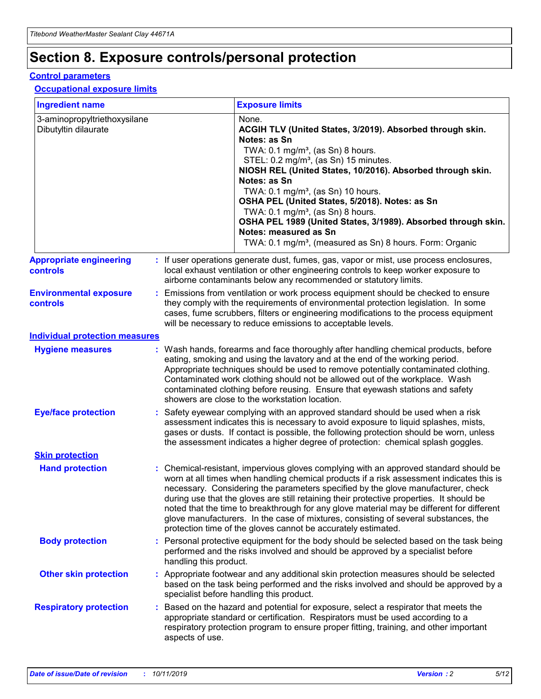## **Section 8. Exposure controls/personal protection**

### **Control parameters**

### **Occupational exposure limits**

| <b>Ingredient name</b>                               |    |                        | <b>Exposure limits</b>                                                                                                                                                                                                                                                                                                                                                                                                                                                                                                                                                                                                 |
|------------------------------------------------------|----|------------------------|------------------------------------------------------------------------------------------------------------------------------------------------------------------------------------------------------------------------------------------------------------------------------------------------------------------------------------------------------------------------------------------------------------------------------------------------------------------------------------------------------------------------------------------------------------------------------------------------------------------------|
| 3-aminopropyltriethoxysilane<br>Dibutyltin dilaurate |    |                        | None.<br>ACGIH TLV (United States, 3/2019). Absorbed through skin.<br>Notes: as Sn<br>TWA: $0.1 \text{ mg/m}^3$ , (as Sn) 8 hours.<br>STEL: 0.2 mg/m <sup>3</sup> , (as Sn) 15 minutes.<br>NIOSH REL (United States, 10/2016). Absorbed through skin.<br>Notes: as Sn<br>TWA: 0.1 mg/m <sup>3</sup> , (as Sn) 10 hours.<br>OSHA PEL (United States, 5/2018). Notes: as Sn<br>TWA: 0.1 mg/m <sup>3</sup> , (as Sn) 8 hours.<br>OSHA PEL 1989 (United States, 3/1989). Absorbed through skin.<br>Notes: measured as Sn<br>TWA: 0.1 mg/m <sup>3</sup> , (measured as Sn) 8 hours. Form: Organic                           |
| <b>Appropriate engineering</b><br>controls           |    |                        | : If user operations generate dust, fumes, gas, vapor or mist, use process enclosures,<br>local exhaust ventilation or other engineering controls to keep worker exposure to<br>airborne contaminants below any recommended or statutory limits.                                                                                                                                                                                                                                                                                                                                                                       |
| <b>Environmental exposure</b><br>controls            |    |                        | Emissions from ventilation or work process equipment should be checked to ensure<br>they comply with the requirements of environmental protection legislation. In some<br>cases, fume scrubbers, filters or engineering modifications to the process equipment<br>will be necessary to reduce emissions to acceptable levels.                                                                                                                                                                                                                                                                                          |
| <b>Individual protection measures</b>                |    |                        |                                                                                                                                                                                                                                                                                                                                                                                                                                                                                                                                                                                                                        |
| <b>Hygiene measures</b>                              |    |                        | : Wash hands, forearms and face thoroughly after handling chemical products, before<br>eating, smoking and using the lavatory and at the end of the working period.<br>Appropriate techniques should be used to remove potentially contaminated clothing.<br>Contaminated work clothing should not be allowed out of the workplace. Wash<br>contaminated clothing before reusing. Ensure that eyewash stations and safety<br>showers are close to the workstation location.                                                                                                                                            |
| <b>Eye/face protection</b>                           |    |                        | Safety eyewear complying with an approved standard should be used when a risk<br>assessment indicates this is necessary to avoid exposure to liquid splashes, mists,<br>gases or dusts. If contact is possible, the following protection should be worn, unless<br>the assessment indicates a higher degree of protection: chemical splash goggles.                                                                                                                                                                                                                                                                    |
| <b>Skin protection</b>                               |    |                        |                                                                                                                                                                                                                                                                                                                                                                                                                                                                                                                                                                                                                        |
| <b>Hand protection</b>                               |    |                        | : Chemical-resistant, impervious gloves complying with an approved standard should be<br>worn at all times when handling chemical products if a risk assessment indicates this is<br>necessary. Considering the parameters specified by the glove manufacturer, check<br>during use that the gloves are still retaining their protective properties. It should be<br>noted that the time to breakthrough for any glove material may be different for different<br>glove manufacturers. In the case of mixtures, consisting of several substances, the<br>protection time of the gloves cannot be accurately estimated. |
| <b>Body protection</b>                               |    | handling this product. | Personal protective equipment for the body should be selected based on the task being<br>performed and the risks involved and should be approved by a specialist before                                                                                                                                                                                                                                                                                                                                                                                                                                                |
| <b>Other skin protection</b>                         |    |                        | : Appropriate footwear and any additional skin protection measures should be selected<br>based on the task being performed and the risks involved and should be approved by a<br>specialist before handling this product.                                                                                                                                                                                                                                                                                                                                                                                              |
| <b>Respiratory protection</b>                        | ÷. | aspects of use.        | Based on the hazard and potential for exposure, select a respirator that meets the<br>appropriate standard or certification. Respirators must be used according to a<br>respiratory protection program to ensure proper fitting, training, and other important                                                                                                                                                                                                                                                                                                                                                         |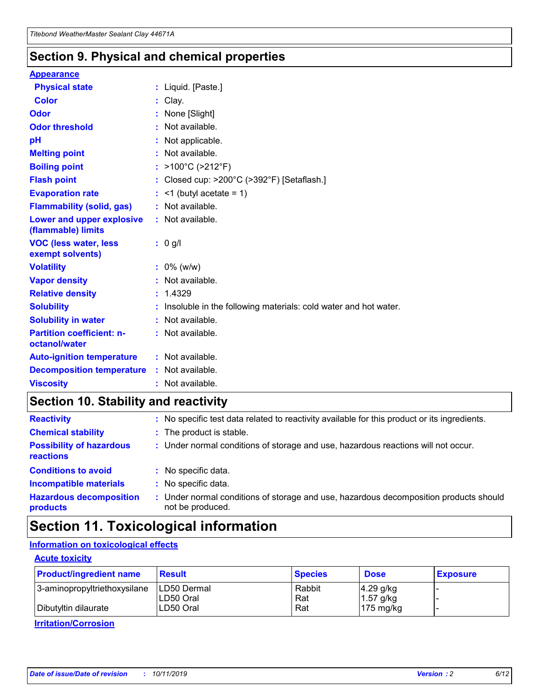## **Section 9. Physical and chemical properties**

### **Appearance**

| <b>Physical state</b>                             | : Liquid. [Paste.]                                              |
|---------------------------------------------------|-----------------------------------------------------------------|
| Color                                             | Clay.                                                           |
| Odor                                              | : None [Slight]                                                 |
| <b>Odor threshold</b>                             | $:$ Not available.                                              |
| рH                                                | : Not applicable.                                               |
| <b>Melting point</b>                              | : Not available.                                                |
| <b>Boiling point</b>                              | : >100°C (>212°F)                                               |
| <b>Flash point</b>                                | : Closed cup: >200°C (>392°F) [Setaflash.]                      |
| <b>Evaporation rate</b>                           | $:$ <1 (butyl acetate = 1)                                      |
| <b>Flammability (solid, gas)</b>                  | : Not available.                                                |
| Lower and upper explosive<br>(flammable) limits   | : Not available.                                                |
| <b>VOC (less water, less</b><br>exempt solvents)  | : 0 g/l                                                         |
| <b>Volatility</b>                                 | $: 0\%$ (w/w)                                                   |
| <b>Vapor density</b>                              | : Not available.                                                |
| <b>Relative density</b>                           | : 1.4329                                                        |
| <b>Solubility</b>                                 | Insoluble in the following materials: cold water and hot water. |
| <b>Solubility in water</b>                        | : Not available.                                                |
| <b>Partition coefficient: n-</b><br>octanol/water | $:$ Not available.                                              |
| <b>Auto-ignition temperature</b>                  | : Not available.                                                |
| <b>Decomposition temperature</b>                  | : Not available.                                                |
| <b>Viscosity</b>                                  |                                                                 |

## **Section 10. Stability and reactivity**

| <b>Reactivity</b>                            |    | : No specific test data related to reactivity available for this product or its ingredients.            |
|----------------------------------------------|----|---------------------------------------------------------------------------------------------------------|
| <b>Chemical stability</b>                    |    | : The product is stable.                                                                                |
| <b>Possibility of hazardous</b><br>reactions |    | : Under normal conditions of storage and use, hazardous reactions will not occur.                       |
| <b>Conditions to avoid</b>                   |    | : No specific data.                                                                                     |
| <b>Incompatible materials</b>                | ٠. | No specific data.                                                                                       |
| <b>Hazardous decomposition</b><br>products   | ÷. | Under normal conditions of storage and use, hazardous decomposition products should<br>not be produced. |

## **Section 11. Toxicological information**

## **Information on toxicological effects**

### **Acute toxicity**

| <b>Product/ingredient name</b> | <b>Result</b>           | <b>Species</b> | <b>Dose</b>                | <b>Exposure</b> |
|--------------------------------|-------------------------|----------------|----------------------------|-----------------|
| 3-aminopropyltriethoxysilane   | <b>ILD50 Dermal</b>     | Rabbit         | 4.29 g/kg                  |                 |
| Dibutyltin dilaurate           | ILD50 Oral<br>LD50 Oral | Rat<br>Rat     | $1.57$ g/kg<br>175 $mg/kg$ |                 |
|                                |                         |                |                            |                 |

**Irritation/Corrosion**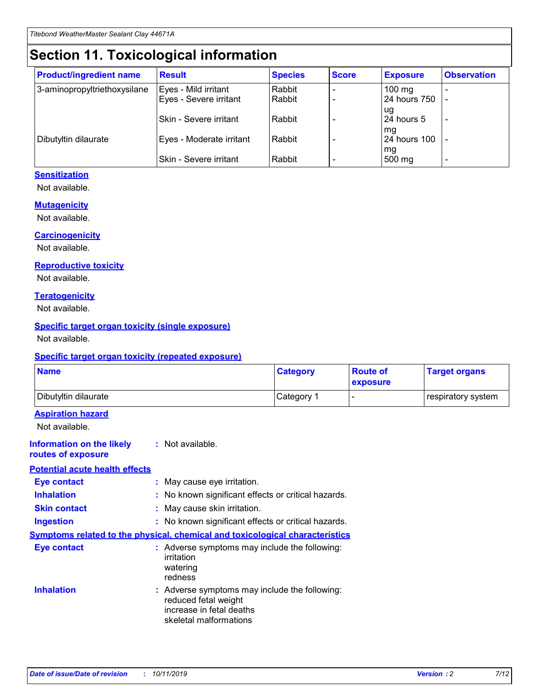## **Section 11. Toxicological information**

| <b>Product/ingredient name</b> | <b>Result</b>            | <b>Species</b> | <b>Score</b> | <b>Exposure</b>  | <b>Observation</b> |
|--------------------------------|--------------------------|----------------|--------------|------------------|--------------------|
| 3-aminopropyltriethoxysilane   | Eyes - Mild irritant     | Rabbit         |              | $100 \text{ mg}$ |                    |
|                                | Eyes - Severe irritant   | Rabbit         |              | 24 hours 750     |                    |
|                                |                          |                |              | ug               |                    |
|                                | Skin - Severe irritant   | Rabbit         |              | 24 hours 5       | ۰                  |
|                                |                          |                |              | mq               |                    |
| Dibutyltin dilaurate           | Eyes - Moderate irritant | Rabbit         |              | 24 hours 100     |                    |
|                                | Skin - Severe irritant   | Rabbit         |              | mg<br>500 mg     |                    |

### **Sensitization**

Not available.

### **Mutagenicity**

Not available.

### **Carcinogenicity**

Not available.

#### **Reproductive toxicity**

Not available.

### **Teratogenicity**

Not available.

### **Specific target organ toxicity (single exposure)**

Not available.

### **Specific target organ toxicity (repeated exposure)**

| <b>Name</b>                                                                         |                                                                            | <b>Category</b>                                     | <b>Route of</b><br>exposure | <b>Target organs</b> |
|-------------------------------------------------------------------------------------|----------------------------------------------------------------------------|-----------------------------------------------------|-----------------------------|----------------------|
| Dibutyltin dilaurate                                                                |                                                                            | Category 1                                          | -                           | respiratory system   |
| <b>Aspiration hazard</b><br>Not available.                                          |                                                                            |                                                     |                             |                      |
| <b>Information on the likely</b><br>routes of exposure                              | : Not available.                                                           |                                                     |                             |                      |
| <b>Potential acute health effects</b>                                               |                                                                            |                                                     |                             |                      |
| <b>Eye contact</b>                                                                  | : May cause eye irritation.                                                |                                                     |                             |                      |
| <b>Inhalation</b>                                                                   |                                                                            | : No known significant effects or critical hazards. |                             |                      |
| <b>Skin contact</b>                                                                 | : May cause skin irritation.                                               |                                                     |                             |                      |
| <b>Ingestion</b>                                                                    |                                                                            | : No known significant effects or critical hazards. |                             |                      |
| <b>Symptoms related to the physical, chemical and toxicological characteristics</b> |                                                                            |                                                     |                             |                      |
| <b>Eye contact</b>                                                                  | irritation<br>watering<br>redness                                          | : Adverse symptoms may include the following:       |                             |                      |
| <b>Inhalation</b>                                                                   | reduced fetal weight<br>increase in fetal deaths<br>skeletal malformations | : Adverse symptoms may include the following:       |                             |                      |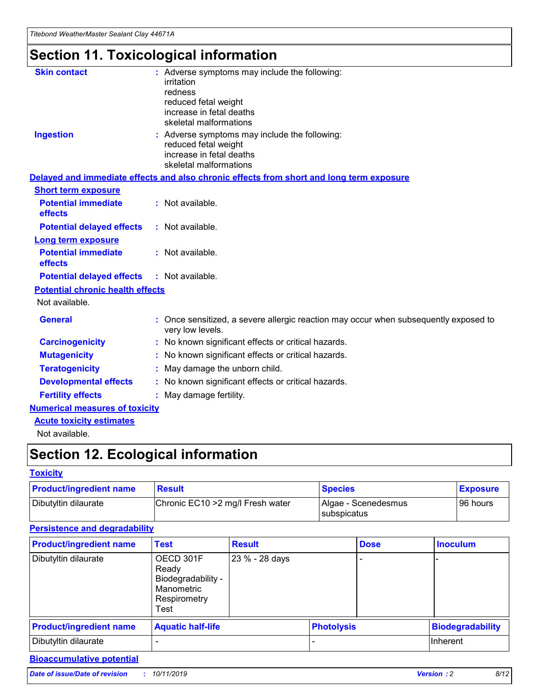# **Section 11. Toxicological information**

| <b>Skin contact</b>                     | : Adverse symptoms may include the following:<br>irritation<br>redness<br>reduced fetal weight<br>increase in fetal deaths<br>skeletal malformations |
|-----------------------------------------|------------------------------------------------------------------------------------------------------------------------------------------------------|
| <b>Ingestion</b>                        | : Adverse symptoms may include the following:<br>reduced fetal weight<br>increase in fetal deaths<br>skeletal malformations                          |
|                                         | Delayed and immediate effects and also chronic effects from short and long term exposure                                                             |
| <b>Short term exposure</b>              |                                                                                                                                                      |
| <b>Potential immediate</b><br>effects   | : Not available.                                                                                                                                     |
| <b>Potential delayed effects</b>        | : Not available.                                                                                                                                     |
| <b>Long term exposure</b>               |                                                                                                                                                      |
| <b>Potential immediate</b><br>effects   | : Not available.                                                                                                                                     |
| <b>Potential delayed effects</b>        | : Not available.                                                                                                                                     |
| <b>Potential chronic health effects</b> |                                                                                                                                                      |
| Not available.                          |                                                                                                                                                      |
| <b>General</b>                          | : Once sensitized, a severe allergic reaction may occur when subsequently exposed to<br>very low levels.                                             |
| <b>Carcinogenicity</b>                  | : No known significant effects or critical hazards.                                                                                                  |
| <b>Mutagenicity</b>                     | No known significant effects or critical hazards.                                                                                                    |
| <b>Teratogenicity</b>                   | May damage the unborn child.                                                                                                                         |
| <b>Developmental effects</b>            | No known significant effects or critical hazards.                                                                                                    |
| <b>Fertility effects</b>                | : May damage fertility.                                                                                                                              |
| <b>Numerical measures of toxicity</b>   |                                                                                                                                                      |
| <b>Acute toxicity estimates</b>         |                                                                                                                                                      |
|                                         |                                                                                                                                                      |

Not available.

## **Section 12. Ecological information**

### **Toxicity**

| <b>Product/ingredient name</b> | <b>Result</b>                     | <b>Species</b>                       | <b>Exposure</b> |
|--------------------------------|-----------------------------------|--------------------------------------|-----------------|
| Dibutyltin dilaurate           | Chronic EC10 > 2 mg/l Fresh water | Algae - Scenedesmus<br>I subspicatus | l 96 hours i    |

## **Persistence and degradability**

| <b>Product/ingredient name</b> | <b>Test</b>                                                                    | <b>Result</b>  |                   | <b>Dose</b> | <b>Inoculum</b>         |
|--------------------------------|--------------------------------------------------------------------------------|----------------|-------------------|-------------|-------------------------|
| Dibutyltin dilaurate           | OECD 301F<br>Ready<br>Biodegradability -<br>Manometric<br>Respirometry<br>Test | 23 % - 28 days |                   |             |                         |
| <b>Product/ingredient name</b> | <b>Aquatic half-life</b>                                                       |                | <b>Photolysis</b> |             | <b>Biodegradability</b> |
| Dibutyltin dilaurate           |                                                                                |                |                   |             | Inherent                |

## **Bioaccumulative potential**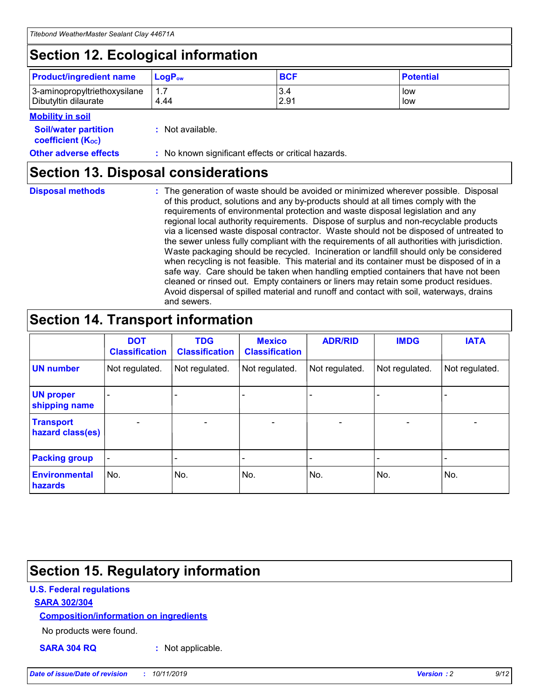## **Section 12. Ecological information**

| <b>Product/ingredient name</b> | $LoaPow$ | <b>BCF</b> | <b>Potential</b> |
|--------------------------------|----------|------------|------------------|
| 3-aminopropyltriethoxysilane   | 1.7      | 3.4        | low              |
| Dibutyltin dilaurate           | 4.44     | 2.91       | low              |

### **Mobility in soil**

| <i></i>                                                       |                                                     |
|---------------------------------------------------------------|-----------------------------------------------------|
| <b>Soil/water partition</b><br>coefficient (K <sub>oc</sub> ) | : Not available.                                    |
| <b>Other adverse effects</b>                                  | : No known significant effects or critical hazards. |

## **Section 13. Disposal considerations**

**Disposal methods :**

The generation of waste should be avoided or minimized wherever possible. Disposal of this product, solutions and any by-products should at all times comply with the requirements of environmental protection and waste disposal legislation and any regional local authority requirements. Dispose of surplus and non-recyclable products via a licensed waste disposal contractor. Waste should not be disposed of untreated to the sewer unless fully compliant with the requirements of all authorities with jurisdiction. Waste packaging should be recycled. Incineration or landfill should only be considered when recycling is not feasible. This material and its container must be disposed of in a safe way. Care should be taken when handling emptied containers that have not been cleaned or rinsed out. Empty containers or liners may retain some product residues. Avoid dispersal of spilled material and runoff and contact with soil, waterways, drains and sewers.

## **Section 14. Transport information**

|                                      | <b>DOT</b><br><b>Classification</b> | <b>TDG</b><br><b>Classification</b> | <b>Mexico</b><br><b>Classification</b> | <b>ADR/RID</b>           | <b>IMDG</b>              | <b>IATA</b>              |
|--------------------------------------|-------------------------------------|-------------------------------------|----------------------------------------|--------------------------|--------------------------|--------------------------|
| <b>UN number</b>                     | Not regulated.                      | Not regulated.                      | Not regulated.                         | Not regulated.           | Not regulated.           | Not regulated.           |
| <b>UN proper</b><br>shipping name    | $\qquad \qquad$                     |                                     |                                        |                          |                          |                          |
| <b>Transport</b><br>hazard class(es) | $\blacksquare$                      | $\blacksquare$                      | $\blacksquare$                         | $\overline{\phantom{a}}$ | $\blacksquare$           | $\blacksquare$           |
| <b>Packing group</b>                 | $\overline{\phantom{a}}$            | $\overline{\phantom{0}}$            | $\overline{\phantom{0}}$               | -                        | $\overline{\phantom{0}}$ | $\overline{\phantom{a}}$ |
| <b>Environmental</b><br>hazards      | No.                                 | No.                                 | No.                                    | No.                      | No.                      | No.                      |

## **Section 15. Regulatory information**

### **U.S. Federal regulations**

### **SARA 302/304**

### **Composition/information on ingredients**

No products were found.

**SARA 304 RQ :** Not applicable.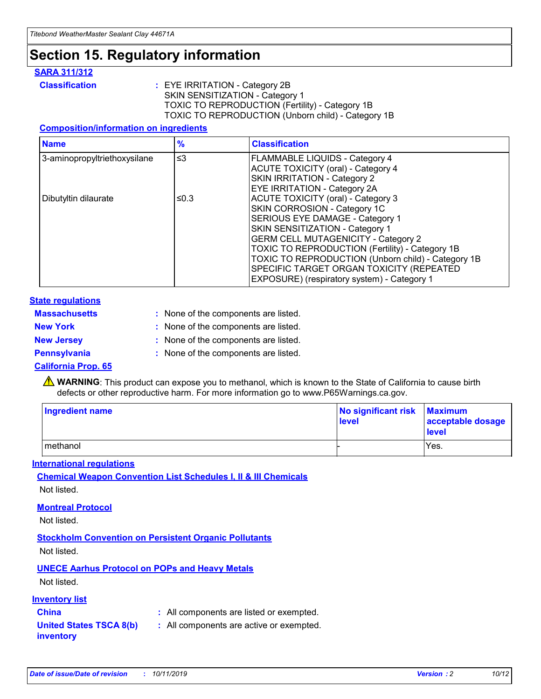## **Section 15. Regulatory information**

### **SARA 311/312**

**Classification :** EYE IRRITATION - Category 2B SKIN SENSITIZATION - Category 1 TOXIC TO REPRODUCTION (Fertility) - Category 1B TOXIC TO REPRODUCTION (Unborn child) - Category 1B

### **Composition/information on ingredients**

| <b>Name</b>                  | $\frac{9}{6}$ | <b>Classification</b>                                                                                            |
|------------------------------|---------------|------------------------------------------------------------------------------------------------------------------|
| 3-aminopropyltriethoxysilane | $\leq$ 3      | <b>FLAMMABLE LIQUIDS - Category 4</b><br><b>ACUTE TOXICITY (oral) - Category 4</b>                               |
|                              |               | SKIN IRRITATION - Category 2<br>EYE IRRITATION - Category 2A                                                     |
| Dibutyltin dilaurate         | ≤0.3          | ACUTE TOXICITY (oral) - Category 3<br>SKIN CORROSION - Category 1C                                               |
|                              |               | SERIOUS EYE DAMAGE - Category 1<br>SKIN SENSITIZATION - Category 1<br><b>GERM CELL MUTAGENICITY - Category 2</b> |
|                              |               | TOXIC TO REPRODUCTION (Fertility) - Category 1B<br>TOXIC TO REPRODUCTION (Unborn child) - Category 1B            |
|                              |               | SPECIFIC TARGET ORGAN TOXICITY (REPEATED<br>EXPOSURE) (respiratory system) - Category 1                          |

### **State regulations**

| <b>Massachusetts</b> | : None of the components are listed. |
|----------------------|--------------------------------------|
| <b>New York</b>      | : None of the components are listed. |
| <b>New Jersey</b>    | : None of the components are listed. |
| <b>Pennsylvania</b>  | : None of the components are listed. |

### **California Prop. 65**

**A** WARNING: This product can expose you to methanol, which is known to the State of California to cause birth defects or other reproductive harm. For more information go to www.P65Warnings.ca.gov.

| <b>Ingredient name</b> | No significant risk Maximum<br>level | acceptable dosage<br>level |
|------------------------|--------------------------------------|----------------------------|
| methanol               |                                      | Yes.                       |

### **International regulations**

**Chemical Weapon Convention List Schedules I, II & III Chemicals** Not listed.

### **Montreal Protocol**

Not listed.

### **Stockholm Convention on Persistent Organic Pollutants**

Not listed.

## **UNECE Aarhus Protocol on POPs and Heavy Metals**

Not listed.

### **Inventory list**

## **China :** All components are listed or exempted.

#### **United States TSCA 8(b) inventory :** All components are active or exempted.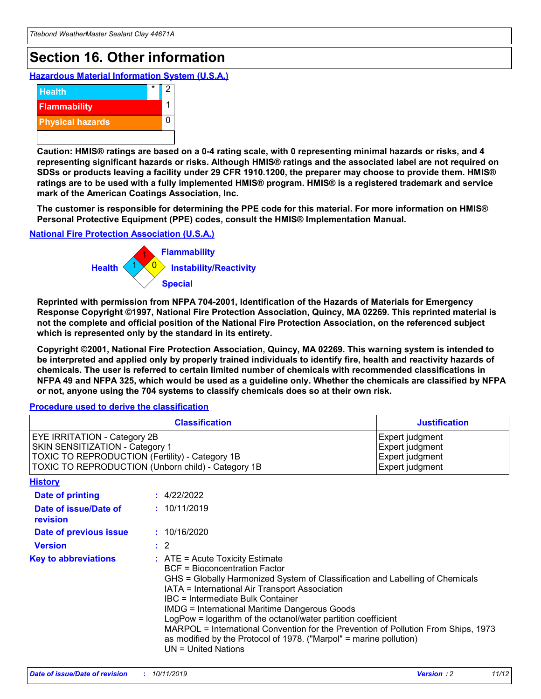## **Section 16. Other information**

**Hazardous Material Information System (U.S.A.)**



**Caution: HMIS® ratings are based on a 0-4 rating scale, with 0 representing minimal hazards or risks, and 4 representing significant hazards or risks. Although HMIS® ratings and the associated label are not required on SDSs or products leaving a facility under 29 CFR 1910.1200, the preparer may choose to provide them. HMIS® ratings are to be used with a fully implemented HMIS® program. HMIS® is a registered trademark and service mark of the American Coatings Association, Inc.**

**The customer is responsible for determining the PPE code for this material. For more information on HMIS® Personal Protective Equipment (PPE) codes, consult the HMIS® Implementation Manual.**

### **National Fire Protection Association (U.S.A.)**



**Reprinted with permission from NFPA 704-2001, Identification of the Hazards of Materials for Emergency Response Copyright ©1997, National Fire Protection Association, Quincy, MA 02269. This reprinted material is not the complete and official position of the National Fire Protection Association, on the referenced subject which is represented only by the standard in its entirety.**

**Copyright ©2001, National Fire Protection Association, Quincy, MA 02269. This warning system is intended to be interpreted and applied only by properly trained individuals to identify fire, health and reactivity hazards of chemicals. The user is referred to certain limited number of chemicals with recommended classifications in NFPA 49 and NFPA 325, which would be used as a guideline only. Whether the chemicals are classified by NFPA or not, anyone using the 704 systems to classify chemicals does so at their own risk.**

#### **Procedure used to derive the classification**

| <b>Classification</b>                                                                                                                                                    |                                                                                                                                                                                                                                                                                                                                                                                                                                                                                                                                                               | <b>Justification</b>                                                     |
|--------------------------------------------------------------------------------------------------------------------------------------------------------------------------|---------------------------------------------------------------------------------------------------------------------------------------------------------------------------------------------------------------------------------------------------------------------------------------------------------------------------------------------------------------------------------------------------------------------------------------------------------------------------------------------------------------------------------------------------------------|--------------------------------------------------------------------------|
| EYE IRRITATION - Category 2B<br>SKIN SENSITIZATION - Category 1<br>TOXIC TO REPRODUCTION (Fertility) - Category 1B<br>TOXIC TO REPRODUCTION (Unborn child) - Category 1B |                                                                                                                                                                                                                                                                                                                                                                                                                                                                                                                                                               | Expert judgment<br>Expert judgment<br>Expert judgment<br>Expert judgment |
| <b>History</b>                                                                                                                                                           |                                                                                                                                                                                                                                                                                                                                                                                                                                                                                                                                                               |                                                                          |
| <b>Date of printing</b>                                                                                                                                                  | : 4/22/2022                                                                                                                                                                                                                                                                                                                                                                                                                                                                                                                                                   |                                                                          |
| Date of issue/Date of<br>revision                                                                                                                                        | : 10/11/2019                                                                                                                                                                                                                                                                                                                                                                                                                                                                                                                                                  |                                                                          |
| Date of previous issue                                                                                                                                                   | : 10/16/2020                                                                                                                                                                                                                                                                                                                                                                                                                                                                                                                                                  |                                                                          |
| <b>Version</b>                                                                                                                                                           | $\therefore$ 2                                                                                                                                                                                                                                                                                                                                                                                                                                                                                                                                                |                                                                          |
| <b>Key to abbreviations</b>                                                                                                                                              | $:$ ATE = Acute Toxicity Estimate<br><b>BCF</b> = Bioconcentration Factor<br>GHS = Globally Harmonized System of Classification and Labelling of Chemicals<br>IATA = International Air Transport Association<br>IBC = Intermediate Bulk Container<br><b>IMDG = International Maritime Dangerous Goods</b><br>LogPow = logarithm of the octanol/water partition coefficient<br>MARPOL = International Convention for the Prevention of Pollution From Ships, 1973<br>as modified by the Protocol of 1978. ("Marpol" = marine pollution)<br>UN = United Nations |                                                                          |